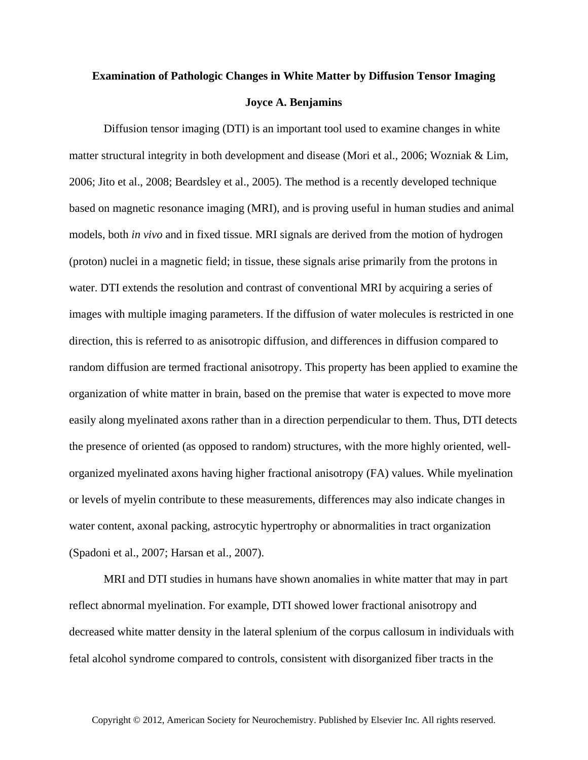## **Examination of Pathologic Changes in White Matter by Diffusion Tensor Imaging Joyce A. Benjamins**

Diffusion tensor imaging (DTI) is an important tool used to examine changes in white matter structural integrity in both development and disease (Mori et al., 2006; Wozniak & Lim, 2006; Jito et al., 2008; Beardsley et al., 2005). The method is a recently developed technique based on magnetic resonance imaging (MRI), and is proving useful in human studies and animal models, both *in vivo* and in fixed tissue. MRI signals are derived from the motion of hydrogen (proton) nuclei in a magnetic field; in tissue, these signals arise primarily from the protons in water. DTI extends the resolution and contrast of conventional MRI by acquiring a series of images with multiple imaging parameters. If the diffusion of water molecules is restricted in one direction, this is referred to as anisotropic diffusion, and differences in diffusion compared to random diffusion are termed fractional anisotropy. This property has been applied to examine the organization of white matter in brain, based on the premise that water is expected to move more easily along myelinated axons rather than in a direction perpendicular to them. Thus, DTI detects the presence of oriented (as opposed to random) structures, with the more highly oriented, wellorganized myelinated axons having higher fractional anisotropy (FA) values. While myelination or levels of myelin contribute to these measurements, differences may also indicate changes in water content, axonal packing, astrocytic hypertrophy or abnormalities in tract organization (Spadoni et al., 2007; Harsan et al., 2007).

MRI and DTI studies in humans have shown anomalies in white matter that may in part reflect abnormal myelination. For example, DTI showed lower fractional anisotropy and decreased white matter density in the lateral splenium of the corpus callosum in individuals with fetal alcohol syndrome compared to controls, consistent with disorganized fiber tracts in the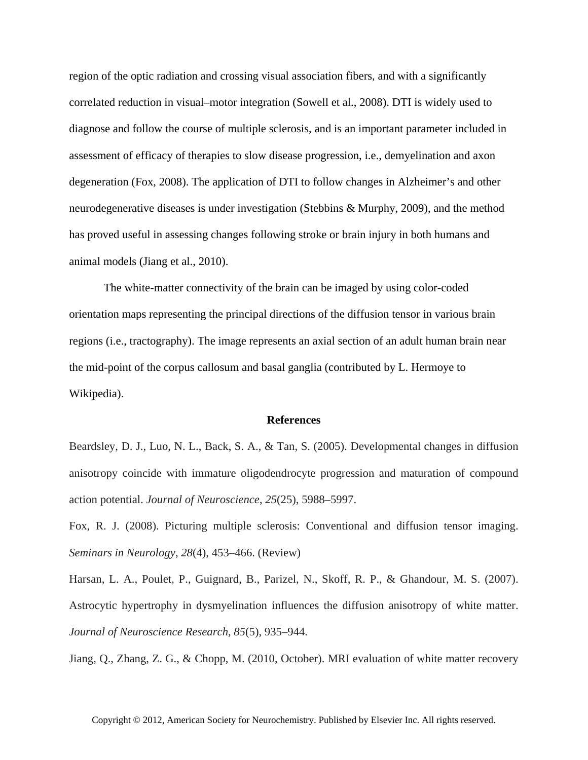region of the optic radiation and crossing visual association fibers, and with a significantly correlated reduction in visual–motor integration (Sowell et al., 2008). DTI is widely used to diagnose and follow the course of multiple sclerosis, and is an important parameter included in assessment of efficacy of therapies to slow disease progression, i.e., demyelination and axon degeneration (Fox, 2008). The application of DTI to follow changes in Alzheimer's and other neurodegenerative diseases is under investigation (Stebbins & Murphy, 2009), and the method has proved useful in assessing changes following stroke or brain injury in both humans and animal models (Jiang et al., 2010).

The white-matter connectivity of the brain can be imaged by using color-coded orientation maps representing the principal directions of the diffusion tensor in various brain regions (i.e., tractography). The image represents an axial section of an adult human brain near the mid-point of the corpus callosum and basal ganglia (contributed by L. Hermoye to Wikipedia).

## **References**

Beardsley, D. J., Luo, N. L., Back, S. A., & Tan, S. (2005). Developmental changes in diffusion anisotropy coincide with immature oligodendrocyte progression and maturation of compound action potential. *Journal of Neuroscience*, *25*(25), 5988–5997.

Fox, R. J. (2008). Picturing multiple sclerosis: Conventional and diffusion tensor imaging. *Seminars in Neurology*, *28*(4), 453–466. (Review)

Harsan, L. A., Poulet, P., Guignard, B., Parizel, N., Skoff, R. P., & Ghandour, M. S. (2007). Astrocytic hypertrophy in dysmyelination influences the diffusion anisotropy of white matter. *Journal of Neuroscience Research*, *85*(5), 935–944.

Jiang, Q., Zhang, Z. G., & Chopp, M. (2010, October). MRI evaluation of white matter recovery